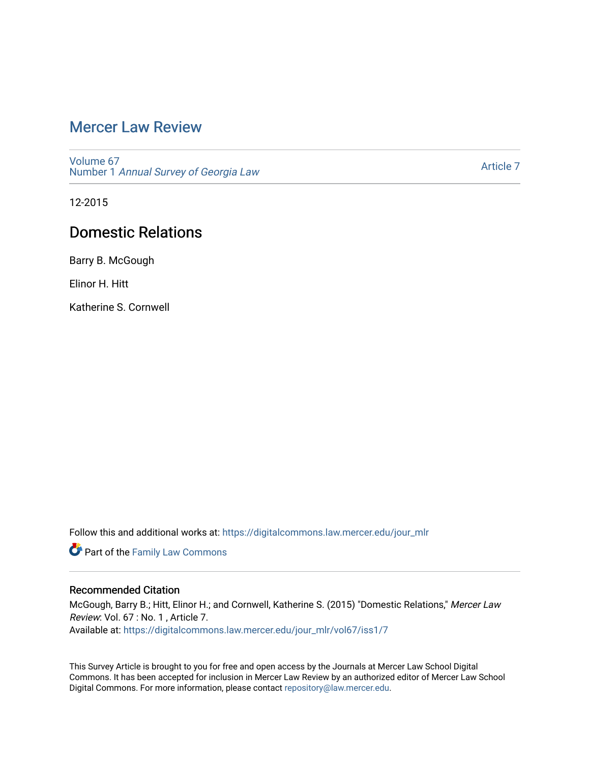## [Mercer Law Review](https://digitalcommons.law.mercer.edu/jour_mlr)

[Volume 67](https://digitalcommons.law.mercer.edu/jour_mlr/vol67) Number 1 [Annual Survey of Georgia Law](https://digitalcommons.law.mercer.edu/jour_mlr/vol67/iss1) 

[Article 7](https://digitalcommons.law.mercer.edu/jour_mlr/vol67/iss1/7) 

12-2015

## Domestic Relations

Barry B. McGough

Elinor H. Hitt

Katherine S. Cornwell

Follow this and additional works at: [https://digitalcommons.law.mercer.edu/jour\\_mlr](https://digitalcommons.law.mercer.edu/jour_mlr?utm_source=digitalcommons.law.mercer.edu%2Fjour_mlr%2Fvol67%2Fiss1%2F7&utm_medium=PDF&utm_campaign=PDFCoverPages)

**Part of the Family Law Commons** 

## Recommended Citation

McGough, Barry B.; Hitt, Elinor H.; and Cornwell, Katherine S. (2015) "Domestic Relations," Mercer Law Review: Vol. 67 : No. 1 , Article 7. Available at: [https://digitalcommons.law.mercer.edu/jour\\_mlr/vol67/iss1/7](https://digitalcommons.law.mercer.edu/jour_mlr/vol67/iss1/7?utm_source=digitalcommons.law.mercer.edu%2Fjour_mlr%2Fvol67%2Fiss1%2F7&utm_medium=PDF&utm_campaign=PDFCoverPages)

This Survey Article is brought to you for free and open access by the Journals at Mercer Law School Digital Commons. It has been accepted for inclusion in Mercer Law Review by an authorized editor of Mercer Law School Digital Commons. For more information, please contact [repository@law.mercer.edu](mailto:repository@law.mercer.edu).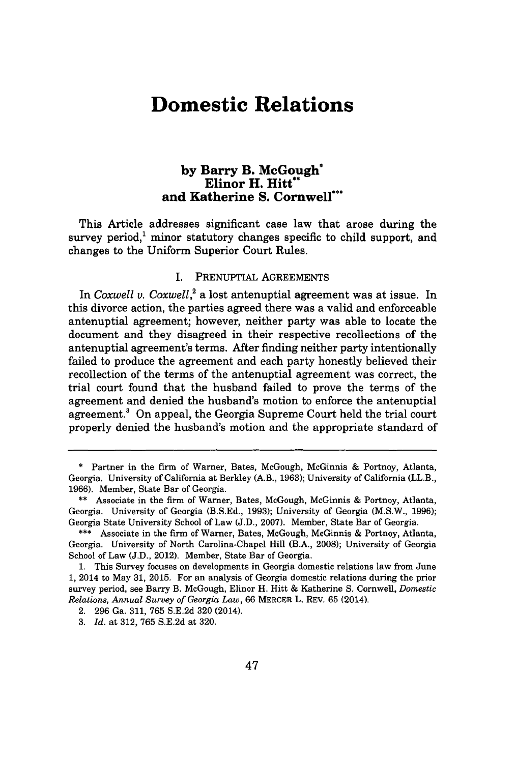# **Domestic Relations**

### **by Barry B. McGough\*** Elinor H. Hitt<sup>\*</sup> **and Katherine S. Cornwell\*\***

This Article addresses significant case law that arose during the survey period,<sup>1</sup> minor statutory changes specific to child support, and changes to the Uniform Superior Court Rules.

#### I. PRENUPTIAL **AGREEMENTS**

In *Coxwell v. Coxwell,<sup>2</sup>*a lost antenuptial agreement was at issue. In this divorce action, the parties agreed there was a valid and enforceable antenuptial agreement; however, neither party was able to locate the document and they disagreed in their respective recollections of the antenuptial agreement's terms. After finding neither party intentionally failed to produce the agreement and each party honestly believed their recollection of the terms of the antenuptial agreement was correct, the trial court found that the husband failed to prove the terms of the agreement and denied the husband's motion to enforce the antenuptial agreement.<sup>3</sup> On appeal, the Georgia Supreme Court held the trial court properly denied the husband's motion and the appropriate standard of

**<sup>\*</sup>** Partner in the firm of Warner, Bates, McGough, McGinnis **&** Portnoy, Atlanta, Georgia. University of California at Berkley (A.B., **1963);** University of California (LL.B., **1966).** Member, State Bar of Georgia.

**<sup>\*\*</sup>** Associate in the firm of Warner, Bates, McGough, McGinnis **&** Portnoy, Atlanta, Georgia. University of Georgia **(B.S.Ed., 1993);** University of Georgia (M.S.W., **1996);** Georgia State University School of Law **(J.D., 2007).** Member, State Bar of Georgia.

**<sup>\*\*\*</sup>** Associate in the firm of Warner, Bates, McGough, McGinnis **&** Portnoy, Atlanta, Georgia. University of North Carolina-Chapel Hill (B.A., **2008);** University of Georgia School of Law **(J.D.,** 2012). Member, State Bar of Georgia.

**<sup>1.</sup>** This Survey focuses on developments in Georgia domestic relations law from June **1,** 2014 to May **31, 2015.** For an analysis of Georgia domestic relations during the prior survey period, see Barry B. McGough, Elinor H. Hitt **&** Katherine **S.** Cornwell, *Domestic Relations, Annual Survey of Georgia Law,* **66** MERCER L. REV. **65** (2014).

<sup>2.</sup> **296** Ga. **311, 765 S.E.2d 320** (2014).

**<sup>3.</sup>** *Id.* at **312, 765 S.E.2d** at **320.**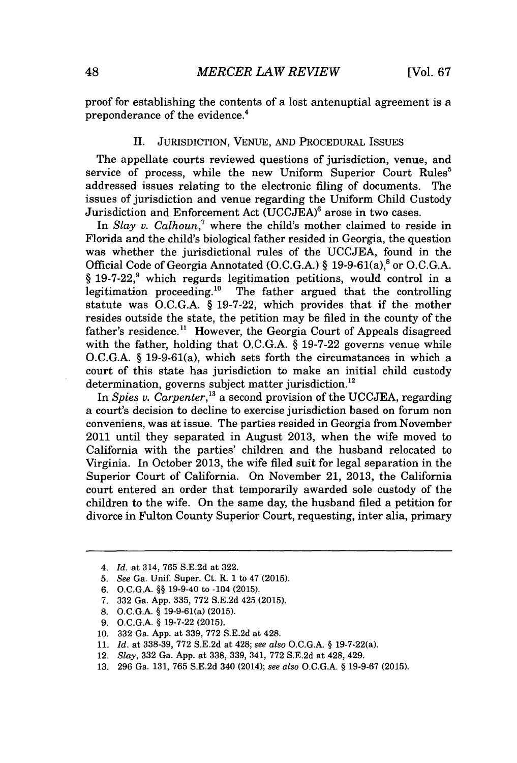proof for establishing the contents of a lost antenuptial agreement is a preponderance of the evidence.

#### II. **JURISDICTION, VENUE, AND** PROCEDURAL **ISSUES**

The appellate courts reviewed questions of jurisdiction, venue, and service of process, while the new Uniform Superior Court Rules<sup>5</sup> addressed issues relating to the electronic filing of documents. The issues of jurisdiction and venue regarding the Uniform Child Custody Jurisdiction and Enforcement Act **(UCCJEA)'** arose in two cases.

In *Slay v. Calhoun,'* where the child's mother claimed to reside in Florida and the child's biological father resided in Georgia, the question was whether the jurisdictional rules of the **UCCJEA,** found in the Official Code of Georgia Annotated **(O.C.G.A.)** *§* 19-9-61(a), or **O.C.G.A.** § 19-7-22,<sup>9</sup> which regards legitimation petitions, would control in a legitimation proceeding.<sup>10</sup> The father argued that the controlling statute was **O.C.G.A.** *§* **19-7-22,** which provides that if the mother resides outside the state, the petition may be filed in the county of the father's residence.<sup>11</sup> However, the Georgia Court of Appeals disagreed with the father, holding that **O.C.G.A.** *§* **19-7-22** governs venue while **O.C.G.A.** *§* 19-9-61(a), which sets forth the circumstances in which a court of this state has jurisdiction to make an initial child custody determination, governs subject matter jurisdiction.<sup>12</sup>

In *Spies v. Carpenter,"* a second provision of the **UCCJEA,** regarding a court's decision to decline to exercise jurisdiction based on forum non conveniens, was at issue. The parties resided in Georgia from November 2011 until they separated in August **2013,** when the wife moved to California with the parties' children and the husband relocated to Virginia. In October **2013,** the wife filed suit for legal separation in the Superior Court of California. On November 21, **2013,** the California court entered an order that temporarily awarded sole custody of the children to the wife. On the same day, the husband filed a petition for divorce in Fulton County Superior Court, requesting, inter alia, primary

*<sup>4.</sup> Id. at* 314, **765 S.E.2d** at **322.**

**<sup>5.</sup>** *See Ga. Unif.* Super. Ct. R. **1** to 47 **(2015).**

**<sup>6.</sup> O.C.G.A. §§** 19-9-40 to -104 **(2015).**

**<sup>7. 332</sup>** Ga. **App. 335, 772 S.E.2d** 425 **(2015).**

**<sup>8.</sup> O.C.G.A. §** 19-9-61(a) **(2015).**

**<sup>9.</sup> O.C.G.A. § 19-7-22 (2015).**

**<sup>10. 332</sup>** Ga. **App.** at **339, 772 S.E.2d** at 428.

**<sup>11.</sup>** *Id.* at **338-39, 772 S.E.2d** at 428; *see also* **O.C.G.A. §** 19-7-22(a).

<sup>12.</sup> *Slay,* **332** Ga. **App.** at **338, 339,** 341, **772 S.E.2d** at 428, 429.

**<sup>13. 296</sup>** Ga. **131, 765 S.E.2d** 340 (2014); *see also O.C.G.A.* **§ 19-9-67 (2015).**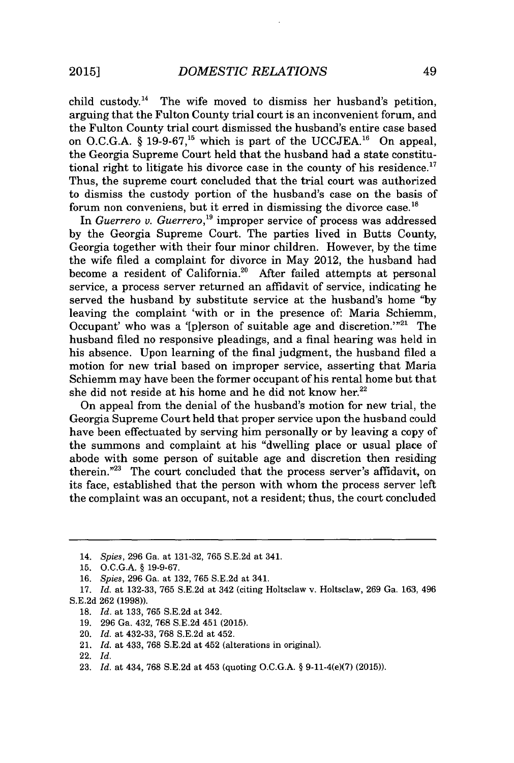child custody.14 The wife moved to dismiss her husband's petition, arguing that the Fulton County trial court is an inconvenient forum, and the Fulton County trial court dismissed the husband's entire case based on O.C.G.A.  $\S$  19-9-67,<sup>15</sup> which is part of the UCCJEA.<sup>16</sup> On appeal, the Georgia Supreme Court held that the husband had a state constitutional right to litigate his divorce case in the county of his residence.<sup>17</sup> Thus, the supreme court concluded that the trial court was authorized to dismiss the custody portion of the husband's case on the basis of forum non conveniens, but it erred in dismissing the divorce case.<sup>18</sup>

In *Guerrero v. Guerrero,'<sup>9</sup>*improper service of process was addressed **by** the Georgia Supreme Court. The parties lived in Butts County, Georgia together with their four minor children. However, **by** the time the wife filed a complaint for divorce in May 2012, the husband had become a resident of California.<sup>20</sup> After failed attempts at personal service, a process server returned an affidavit of service, indicating he served the husband **by** substitute service at the husband's home **"by** leaving the complaint 'with or in the presence of: Maria Schiemm, Occupant' who was a '[p]erson of suitable age and discretion.'"<sup>21</sup> The husband filed no responsive pleadings, and a final hearing was held in his absence. Upon learning of the final judgment, the husband filed a motion for new trial based on improper service, asserting that Maria Schiemm may have been the former occupant of his rental home but that she did not reside at his home and he did not know her. $22$ 

On appeal from the denial of the husband's motion for new trial, the Georgia Supreme Court held that proper service upon the husband could have been effectuated **by** serving him personally or **by** leaving a copy of the summons and complaint at his "dwelling place or usual place of abode with some person of suitable age and discretion then residing therein."<sup>23</sup> The court concluded that the process server's affidavit, on its face, established that the person with whom the process server left the complaint was an occupant, not a resident; thus, the court concluded

*<sup>14.</sup> Spies,* **296** Ga. at **131-32, 765 S.E.2d** at 341.

**<sup>15.</sup> O.C.G.A.** *§* **19-9-67.**

*<sup>16.</sup> Spies,* **296** Ga. at **132, 765 S.E.2d** at 341.

**<sup>17.</sup>** *Id. at* **132-33, 765 S.E.2d** *at* 342 (citing Holtsclaw v. Holtsclaw, **269** Ga. **163,** 496 **S.E.2d 262 (1998)).**

**<sup>18.</sup>** *Id. at* **133, 765 S.E.2d** at 342.

**<sup>19. 296</sup>** Ga. 432, **768 S.E.2d** 451 **(2015).**

<sup>20.</sup> *Id.* at 432-33, **768 S.E.2d** at 452.

<sup>21.</sup> *Id.* at 433, **768 S.E.2d** at 452 (alterations in original).

<sup>22.</sup> *Id.*

**<sup>23.</sup>** *Id.* at 434, **768 S.E.2d** at 453 (quoting **O.C.G.A.** *§* 9-11-4(e)(7) **(2015)).**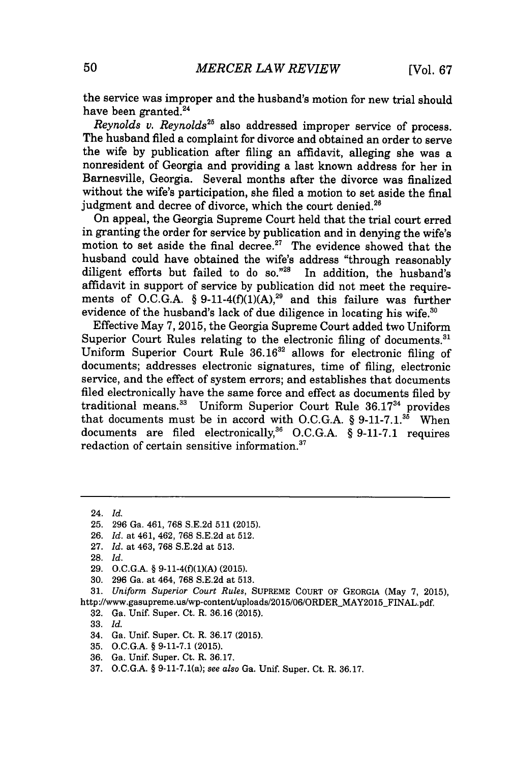the service was improper and the husband's motion for new trial should have been granted.<sup>24</sup>

Reynolds v. Reynolds<sup>25</sup> also addressed improper service of process The husband filed a complaint for divorce and obtained an order to serve the wife **by** publication after filing an affidavit, alleging she was a nonresident of Georgia and providing a last known address for her in Barnesville, Georgia. Several months after the divorce was finalized without the wife's participation, she filed a motion to set aside the final judgment and decree of divorce, which the court denied.<sup>26</sup>

On appeal, the Georgia Supreme Court held that the trial court erred in granting the order for service **by** publication and in denying the wife's motion to set aside the final decree.<sup>27</sup> The evidence showed that the husband could have obtained the wife's address "through reasonably diligent efforts but failed to do so."<sup>28</sup> In addition, the husband's affidavit in support of service **by** publication did not meet the requirements of O.C.G.A.  $\S 9-11-4(f)(1)(A)^{29}$  and this failure was further evidence of the husband's lack of due diligence in locating his wife. $30$ 

Effective May **7, 2015,** the Georgia Supreme Court added two Uniform Superior Court Rules relating to the electronic filing of documents. $31$ Uniform Superior Court Rule 36.16<sup>32</sup> allows for electronic filing of documents; addresses electronic signatures, time of filing, electronic service, and the effect of system errors; and establishes that documents filed electronically have the same force and effect as documents filed **by** traditional means. Uniform Superior Court Rule **36.1734** provides that documents must be in accord with **O.C.G.A.** *§* **9-11-7.1.35** When documents are filed electronically,<sup>36</sup> O.C.G.A. § 9-11-7.1 requires redaction of certain sensitive information.<sup>37</sup>

**30. 296** Ga. at 464, **768 S.E.2d** at **513.**

**31.** *Uniform Superior Court Rules,* SUPREME **COURT OF** GEORGIA (May **7, 2015),** http://www.gasupreme.us/wp-content/uploads/2015/06/ORDER\_MAY2015\_FINAL.pdf.

**32.** Ga. Unif. Super. Ct. R. **36.16 (2015).**

**33.** *Id.*

- 34. Ga. Unif. Super. Ct. R. **36.17 (2015).**
- **35. O.C.G.A. § 9-11-7.1 (2015).**
- **36.** Ga. Unif. Super. Ct. R. **36.17.**

<sup>24.</sup> *Id.*

**<sup>25. 296</sup>** Ga. 461, **768 S.E.2d 511 (2015).**

**<sup>26.</sup>** *Id.* at 461, 462, **768 S.E.2d** at **512.**

**<sup>27.</sup>** *Id.* at 463, **768 S.E.2d** at **513.**

**<sup>28.</sup>** *Id.*

**<sup>29.</sup> O.C.G.A. § 9-11-4(f)(1)(A) (2015).**

**<sup>37.</sup> O.C.G.A. §** 9-11-7.1(a); *see also* Ga. Unif. Super. Ct. R. **36.17.**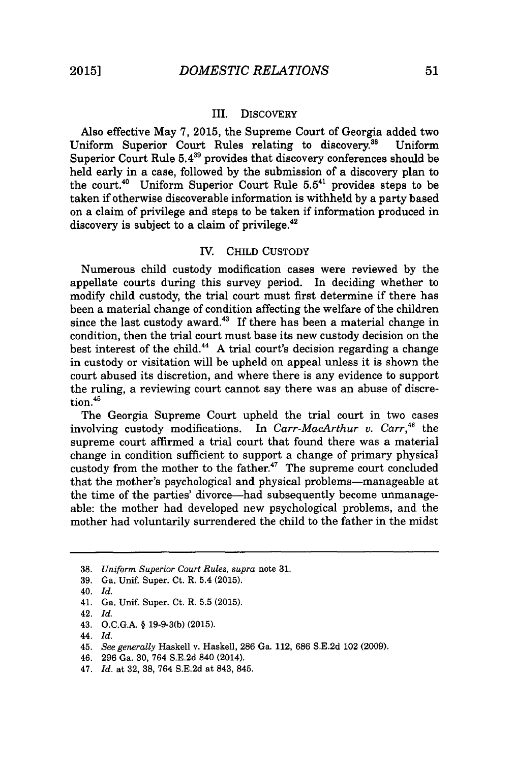#### III. DISCOVERY

Also effective May **7, 2015,** the Supreme Court of Georgia added two Uniform Superior Court Rules relating to discovery.<sup>38</sup> Uniform Superior Court Rule 5.4<sup>39</sup> provides that discovery conferences should be held early in a case, followed **by** the submission of a discovery plan to the court.<sup>40</sup>Uniform Superior Court Rule **5.5"** provides steps to be taken if otherwise discoverable information is withheld **by** a party based on a claim of privilege and steps to be taken if information produced in discovery is subject to a claim of privilege.<sup>42</sup>

### IV. CHILD **CUSTODY**

Numerous child custody modification cases were reviewed **by** the appellate courts during this survey period. In deciding whether to modify child custody, the trial court must first determine if there has been a material change of condition affecting the welfare of the children since the last custody award.<sup>43</sup> If there has been a material change in condition, then the trial court must base its new custody decision on the best interest of the child." **A** trial court's decision regarding a change in custody or visitation will be upheld on appeal unless it is shown the court abused its discretion, and where there is any evidence to support the ruling, a reviewing court cannot say there was an abuse of discretion.<sup>45</sup>

The Georgia Supreme Court upheld the trial court in two cases involving custody modifications. In *Carr-MacArthur v. Carr*,<sup>46</sup> the supreme court affirmed a trial court that found there was a material change in condition sufficient to support a change of primary physical custody from the mother to the father. $47$  The supreme court concluded that the mother's psychological and physical problems-manageable at the time of the parties' divorce—had subsequently become unmanageable: the mother had developed new psychological problems, and the mother had voluntarily surrendered the child to the father in the midst

*44. Id.*

- 46. **296** Ga. **30,** 764 **S.E.2d** 840 (2014).
- 47. *Id.* at **32, 38,** 764 **S.E.2d** at 843, 845.

**<sup>38.</sup>** *Uniform Superior Court Rules, supra* note **31.**

**<sup>39.</sup>** Ga. Unif. Super. Ct. R. 5.4 **(2015).**

<sup>40.</sup> *Id.*

<sup>41.</sup> Ga. Unif. Super. Ct. R. **5.5 (2015).**

<sup>42.</sup> *Id.*

<sup>43.</sup> **O.C.G.A.** *§* **19-9-3(b) (2015).**

<sup>45.</sup> *See generally* Haskell v. Haskell, **286** Ga. 112, **686 S.E.2d** 102 **(2009).**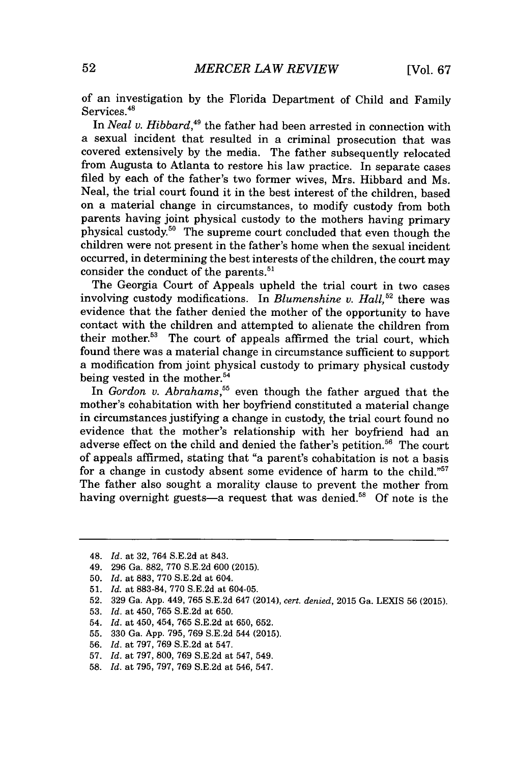of an investigation **by** the Florida Department of Child and Family Services.<sup>48</sup>

In *Neal v. Hibbard*,<sup>49</sup> the father had been arrested in connection with a sexual incident that resulted in a criminal prosecution that was covered extensively **by** the media. The father subsequently relocated from Augusta to Atlanta to restore his law practice. In separate cases filed **by** each of the father's two former wives, Mrs. Hibbard and Ms. Neal, the trial court found it in the best interest of the children, based on a material change in circumstances, to modify custody from both parents having joint physical custody to the mothers having primary physical custody.<sup>50</sup> The supreme court concluded that even though the children were not present in the father's home when the sexual incident occurred, in determining the best interests of the children, the court may consider the conduct of the parents.

The Georgia Court of Appeals upheld the trial court in two cases involving custody modifications. In *Blumenshine v. Hall*,<sup>52</sup> there was evidence that the father denied the mother of the opportunity to have contact with the children and attempted to alienate the children from their mother.<sup>53</sup> The court of appeals affirmed the trial court, which found there was a material change in circumstance sufficient to support a modification from joint physical custody to primary physical custody being vested in the mother.

In *Gordon v. Abrahams*,<sup>55</sup> even though the father argued that the mother's cohabitation with her boyfriend constituted a material change in circumstances justifying a change in custody, the trial court found no evidence that the mother's relationship with her boyfriend had an adverse effect on the child and denied the father's petition.<sup>56</sup> The court of appeals affirmed, stating that "a parent's cohabitation is not a basis for a change in custody absent some evidence of harm to the child."<sup>57</sup> The father also sought a morality clause to prevent the mother from having overnight guests—a request that was denied.<sup>58</sup> Of note is the

- **55. 330** Ga. **App. 795, 769 S.E.2d** 544 **(2015).**
- **56.** *Id. at* **797, 769 S.E.2d** at 547.

**58.** *Id. at* **795, 797, 769 S.E.2d** at 546, 547.

<sup>48.</sup> *Id. at* **32,** 764 **S.E.2d** *at* 843.

*<sup>49.</sup>* **296** Ga. **882, 770 S.E.2d 600 (2015).**

**<sup>50.</sup>** *Id.* at **883, 770 S.E.2d** at 604.

**<sup>51.</sup>** *Id. at* **883-84, 770 S.E.2d** at 604-05.

**<sup>52. 329</sup>** Ga. **App.** 449, **765 S.E.2d** 647 (2014), *cert. denied,* **2015** Ga. LEXIS **56 (2015).**

**<sup>53.</sup>** *Id. at* 450, **765 S.E.2d** at **650.**

<sup>54.</sup> *Id. at* 450, 454, **765 S.E.2d** at **650, 652.**

**<sup>57.</sup>** *Id. at* **797, 800, 769 S.E.2d** at 547, 549.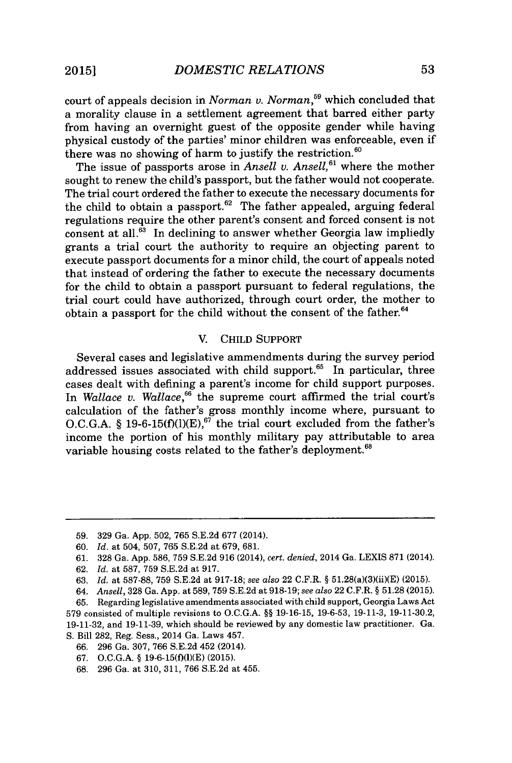court of appeals decision in *Norman v. Norman*,<sup>59</sup> which concluded that a morality clause in a settlement agreement that barred either party from having an overnight guest of the opposite gender while having physical custody of the parties' minor children was enforceable, even if there was no showing of harm to justify the restriction.<sup>60</sup>

The issue of passports arose in *Ansell v. Ansell,<sup>6</sup> <sup>1</sup>*where the mother sought to renew the child's passport, but the father would not cooperate. The trial court ordered the father to execute the necessary documents for the child to obtain a passport.<sup>62</sup> The father appealed, arguing federal regulations require the other parent's consent and forced consent is not consent at all. $63$  In declining to answer whether Georgia law impliedly grants a trial court the authority to require an objecting parent to execute passport documents for a minor child, the court of appeals noted that instead of ordering the father to execute the necessary documents for the child to obtain a passport pursuant to federal regulations, the trial court could have authorized, through court order, the mother to obtain a passport for the child without the consent of the father.<sup>64</sup>

#### V. **CHILD** SUPPORT

Several cases and legislative ammendments during the survey period addressed issues associated with child support. $65$  In particular, three cases dealt with defining a parent's income for child support purposes. In *Wallace v. Wallace*,<sup>66</sup> the supreme court affirmed the trial court's calculation of the father's gross monthly income where, pursuant to **O.C.G.A.** *§* **19-6-15(f)(1)(E), <sup>67</sup>**the trial court excluded from the father's income the portion of his monthly military pay attributable to area variable housing costs related to the father's deployment.<sup>68</sup>

**65.** Regarding legislative amendments associated with child support, Georgia Laws Act

- **66. 296** Ga. **307, 766 S.E.2d** 452 (2014).
- **67. O.C.G.A.** *§* **19-6-15(f)(1)(E) (2015).**

**<sup>59. 329</sup>** Ga. **App. 502, 765 S.E.2d 677** (2014).

**<sup>60.</sup>** *Id.* at 504, **507, 765 S.E.2d** at **679, 681.**

**<sup>61. 328</sup>** Ga. **App. 586, 759 S.E.2d 916** (2014), *cert. denied,* 2014 Ga. **LEXIS 871** (2014).

**<sup>62.</sup>** *Id. at* **587, 759 S.E.2d** at **917.**

**<sup>63.</sup>** *Id. at* **587-88, 759 S.E.2d** at **917-18;** *see also* 22 C.F.R. *§* 51.28(a)(3)(ii)(E) **(2015).**

*<sup>64.</sup> Ansell,* **328** Ga. **App.** at **589, 759 S.E.2d** at **918-19;** *see also* 22 C.F.R. *§* **51.28 (2015).**

**<sup>579</sup>** consisted of multiple revisions to **O.C.G.A.** *§§* **19-16-15, 19-6-53, 19-11-3, 19-11-30.2, 19-11-32,** and **19-11-39,** which should be reviewed **by** any domestic law practitioner. Ga. **S.** Bill **282,** Reg. Sess., 2014 Ga. Laws 457.

**<sup>68. 296</sup>** Ga. at **310, 311, 766 S.E.2d** at 455.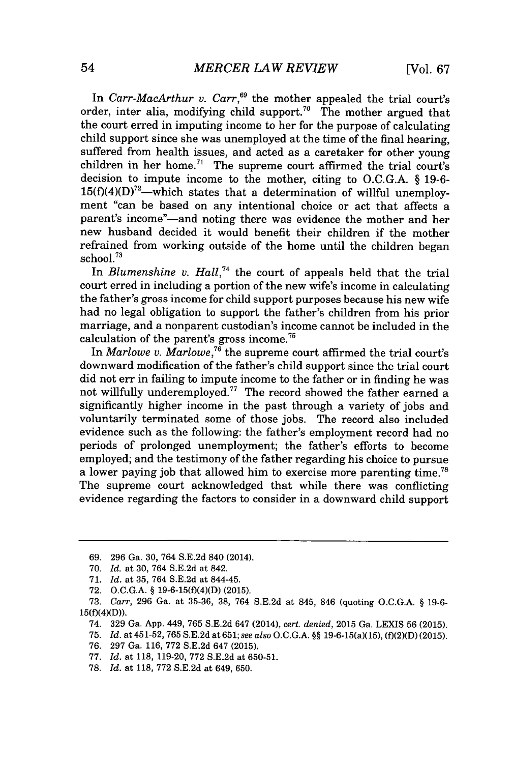In *Carr-MacArthur v. Carr*,<sup>69</sup> the mother appealed the trial court's order, inter alia, modifying child support.<sup>70</sup> The mother argued that the court erred in imputing income to her for the purpose of calculating child support since she was unemployed at the time of the final hearing, suffered from health issues, and acted as a caretaker for other young children in her **home.<sup>7</sup> 1** The supreme court affirmed the trial court's decision to impute income to the mother, citing to **O.C.G.A.** *§* **19-6-**  $15(f)(4)(D)^{72}$ —which states that a determination of willful unemployment "can be based on any intentional choice or act that affects a parent's income"-and noting there was evidence the mother and her new husband decided it would benefit their children if the mother refrained from working outside of the home until the children began school.<sup>73</sup>

In *Blumenshine v. Hall,74* the court of appeals held that the trial court erred in including a portion of the new wife's income in calculating the father's gross income for child support purposes because his new wife had no legal obligation to support the father's children from his prior marriage, and a nonparent custodian's income cannot be included in the calculation of the parent's gross income.

*In Marlowe v. Marlowe,7<sup>6</sup>*the supreme court affirmed the trial court's downward modification of the father's child support since the trial court did not err in failing to impute income to the father or in finding he was not willfully underemployed.<sup>77</sup> The record showed the father earned a significantly higher income in the past through a variety of jobs and voluntarily terminated some of those jobs. The record also included evidence such as the following: the father's employment record had no periods of prolonged unemployment; the father's efforts to become employed; and the testimony of the father regarding his choice to pursue a lower paying **job** that allowed him to exercise more parenting time." The supreme court acknowledged that while there was conflicting evidence regarding the factors to consider in a downward child support

**<sup>69. 296</sup>** Ga. **30,** 764 **S.E.2d** 840 (2014).

**<sup>70.</sup>** *Id.* at **30,** 764 **S.E.2d** at 842.

**<sup>71.</sup>** *Id. at* **35,** 764 **S.E.2d** at 844-45.

**<sup>72.</sup> O.C.G.A.** *§* **19-6-15(f)(4)(D) (2015).**

**<sup>73.</sup>** *Carr,* **296** Ga. at **35-36, 38,** 764 **S.E.2d** at 845, 846 (quoting **O.C.G.A.** *§* **19-6- 15(f)(4)(D)).**

<sup>74.</sup> **329** Ga. **App.** 449, **765 S.E.2d** 647 (2014), *cert. denied,* **2015** Ga. **LEXIS 56 (2015).**

**<sup>75.</sup>** *Id.* at 451-52, 765 **S.E.2d** at *651; see also* **O.C.G.A.** *§§* 19-6-15(a)(15), **(f)(2)(D) (2015).**

**<sup>76. 297</sup>** Ga. **116, 772 S.E.2d** 647 **(2015).**

**<sup>77.</sup>** *Id.* at **118, 119-20, 772 S.E.2d** at **650-51.**

**<sup>78.</sup>** *Id.* at **118, 772 S.E.2d** at 649, **650.**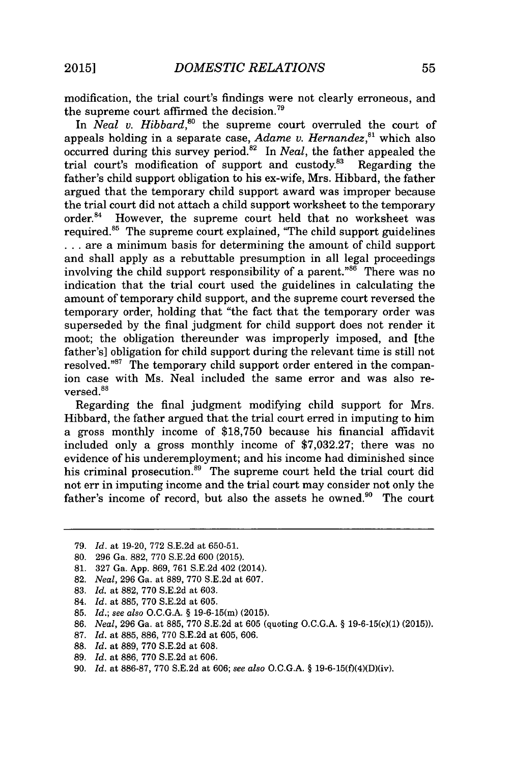modification, the trial court's findings were not clearly erroneous, and the supreme court affirmed the decision."

In *Neal v. Hibbard*,<sup>80</sup> the supreme court overruled the court of appeals holding in a separate case, *Adame v. Hernandez,"* which also occurred during this survey period.<sup>82</sup> In *Neal*, the father appealed the trial court's modification of support and custody.<sup>83</sup> Regarding the father's child support obligation to his ex-wife, Mrs. Hibbard, the father argued that the temporary child support award was improper because the trial court did not attach a child support worksheet to the temporary order.84 However, the supreme court held that no worksheet was required.<sup>85</sup> The supreme court explained, "The child support guidelines **. . .** are a minimum basis for determining the amount of child support and shall apply as a rebuttable presumption in all legal proceedings involving the child support responsibility of a parent."<sup>86</sup> There was no indication that the trial court used the guidelines in calculating the amount of temporary child support, and the supreme court reversed the temporary order, holding that "the fact that the temporary order was superseded **by** the final judgment for child support does not render it moot; the obligation thereunder was improperly imposed, and [the father's] obligation for child support during the relevant time is still not resolved."<sup>87</sup> The temporary child support order entered in the companion case with Ms. Neal included the same error and was also reversed.<sup>88</sup>

Regarding the final judgment modifying child support for Mrs. Hibbard, the father argued that the trial court erred in imputing to him a gross monthly income of **\$18,750** because his financial affidavit included only a gross monthly income of **\$7,032.27;** there was no evidence of his underemployment; and his income had diminished since his criminal prosecution.<sup>89</sup> The supreme court held the trial court did not err in imputing income and the trial court may consider not only the father's income of record, but also the assets he owned.<sup>90</sup> The court

- **80. 296** Ga. **882, 770 S.E.2d 600 (2015).**
- **81. 327** Ga. **App. 869, 761 S.E.2d** 402 (2014).
- **82.** *Neal,* **296** Ga. at **889, 770 S.E.2d** at **607.**
- **83.** *Id.* at **882, 770 S.E.2d** at **603.**
- 84. *Id.* at **885, 770 S.E.2d** at **605.**
- **85.** *Id.; see also* **O.C.G.A.** *§* 19-6-15(m) **(2015).**
- **86.** *Neal,* **296** Ga. at **885, 770 S.E.2d** at **605** (quoting **O.C.G.A.** *§* **19-6-15(c)(1) (2015)).**
- **87.** *Id.* at **885, 886, 770 S.E.2d** at **605, 606.**
- **88.** *Id.* at **889, 770 S.E.2d** at **608.**
- **89.** *Id.* at **886, 770 S.E.2d** at **606.**
- **90.** *Id.* at **886-87, 770 S.E.2d** at **606;** *see also* **O.C.G.A.** *§* 19-6-15(f)(4)(D)(iv).

**<sup>79.</sup>** *Id.* at **19-20, 772 S.E.2d** at **650-51.**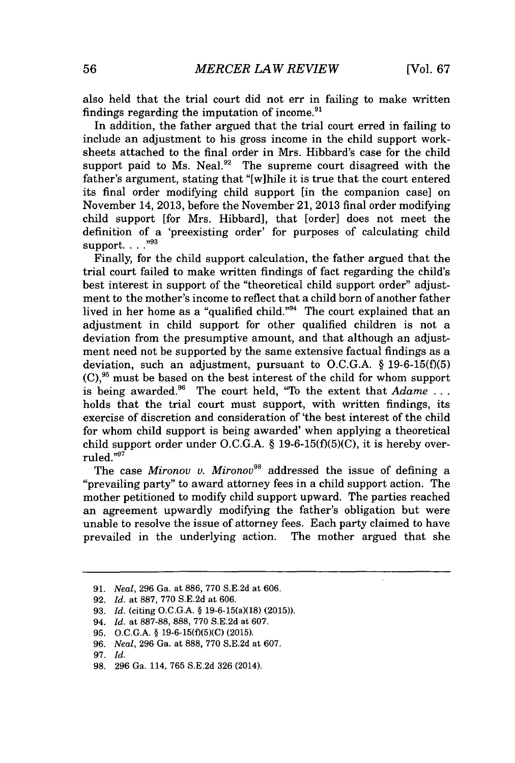also held that the trial court did not err in failing to make written findings regarding the imputation of income. $91$ 

In addition, the father argued that the trial court erred in failing to include an adjustment to his gross income in the child support worksheets attached to the final order in Mrs. Hibbard's case for the child support paid to Ms. Neal. $92$  The supreme court disagreed with the father's argument, stating that "[wihile it is true that the court entered its final order modifying child support [in the companion case] on November 14, **2013,** before the November 21, **2013** final order modifying child support [for Mrs. Hibbard], that [order] does not meet the definition of a 'preexisting order' for purposes of calculating child support. . . .<sup>"93</sup>

Finally, for the child support calculation, the father argued that the trial court failed to make written findings of fact regarding the child's best interest in support of the "theoretical child support order" adjustment to the mother's income to reflect that a child born of another father lived in her home as a "qualified child." $94$  The court explained that an adjustment in child support for other qualified children is not a deviation from the presumptive amount, and that although an adjustment need not be supported **by** the same extensive factual findings as a deviation, such an adjustment, pursuant to **O.C.G.A.** *§* **19-6-15(f)(5) (C),<sup>9</sup> '** must be based on the best interest of the child for whom support is being awarded.<sup>96</sup> The court held, "To the extent that  $Adame \dots$ holds that the trial court must support, with written findings, its exercise of discretion and consideration of 'the best interest of the child for whom child support is being awarded' when applying a theoretical child support order under **O.C.G.A.** *§* **19-6-15(f)(5)(C),** it is hereby overruled."97

The case *Mironov v. Mironov*<sup>98</sup> addressed the issue of defining a "prevailing party" to award attorney fees in a child support action. The mother petitioned to modify child support upward. The parties reached an agreement upwardly modifying the father's obligation but were unable to resolve the issue of attorney fees. Each party claimed to have prevailed in the underlying action. The mother argued that she

**<sup>91.</sup>** *Neal,* **296** Ga. at **886, 770 S.E.2d** at **606.**

**<sup>92.</sup>** *Id. at* **887, 770 S.E.2d** at **606.**

**<sup>93.</sup>** *Id.* (citing **O.C.G.A. §** 19-6-15(a)(18) **(2015)).**

*<sup>94.</sup> Id.* at **887-88, 888, 770 S.E.2d** at **607.**

**<sup>95.</sup> O.C.G.A. § 19-6-15(f)(5)(C) (2015).**

*<sup>96.</sup> Neal,* **296** Ga. at **888, 770 S.E.2d** at **607.**

*<sup>97.</sup> Id.*

**<sup>98. 296</sup>** Ga. 114, **765 S.E.2d 326** (2014).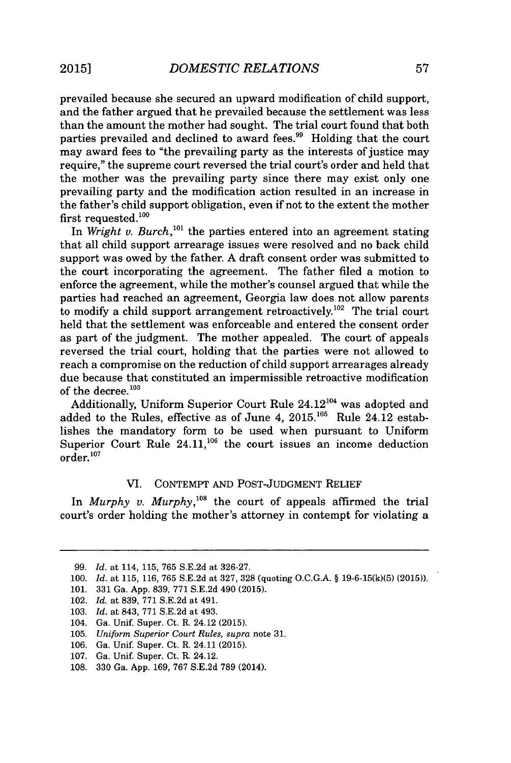prevailed because she secured an upward modification of child support, and the father argued that he prevailed because the settlement was less than the amount the mother had sought. The trial court found that both parties prevailed and declined to award fees.<sup>99</sup> Holding that the court may award fees to "the prevailing party as the interests of justice may require," the supreme court reversed the trial court's order and held that the mother was the prevailing party since there may exist only one prevailing party and the modification action resulted in an increase in the father's child support obligation, even if not to the extent the mother first requested. $100$ 

In *Wright v. Burch*,<sup>101</sup>, the parties entered into an agreement stating that all child support arrearage issues were resolved and no back child support was owed **by** the father. **A** draft consent order was submitted to the court incorporating the agreement. The father filed a motion to enforce the agreement, while the mother's counsel argued that while the parties had reached an agreement, Georgia law does not allow parents to modify a child support arrangement retroactively.<sup>102</sup> The trial court held that the settlement was enforceable and entered the consent order as part of the judgment. The mother appealed. The court of appeals reversed the trial court, holding that the parties were not allowed to reach a compromise on the reduction of child support arrearages already due because that constituted an impermissible retroactive modification of the decree. $103$ 

Additionally, Uniform Superior Court Rule 24.12<sup>104</sup> was adopted and added to the Rules, effective as of June 4, **2015.105** Rule 24.12 establishes the mandatory form to be used when pursuant to Uniform Superior Court Rule 24.11,<sup>106</sup> the court issues an income deduction order. **<sup>10</sup>**

#### VI. **CONTEMPT AND POST-JUDGMENT** RELIEF

In *Murphy v. Murphy*<sup>108</sup> the court of appeals affirmed the trial court's order holding the mother's attorney in contempt for violating a

*<sup>99.</sup> Id. at* 114, **115, 765 S.E.2d** *at* **326-27.**

**<sup>100.</sup>** *Id. at* **115, 116, 765 S.E.2d** *at* **327, 328** (quoting **O.C.G.A. § 19-6-15(k)(5) (2015)).**

**<sup>101. 331</sup>** Ga. **App. 839, 771 S.E.2d** 490 **(2015).**

<sup>102.</sup> *Id.* at **839, 771 S.E.2d** at 491.

**<sup>103.</sup>** *Id.* at 843, **771 S.E.2d** at 493.

<sup>104.</sup> Ga. Unif. Super. Ct. R. 24.12 **(2015).**

**<sup>105.</sup>** *Uniform Superior Court Rules, supra* note **31.**

**<sup>106.</sup>** Ga. Unif. Super. Ct. R. 24.11 **(2015).**

**<sup>107.</sup>** Ga. Unif. Super. Ct. R. 24.12.

**<sup>108. 330</sup>** Ga. **App. 169, 767 S.E.2d 789** (2014).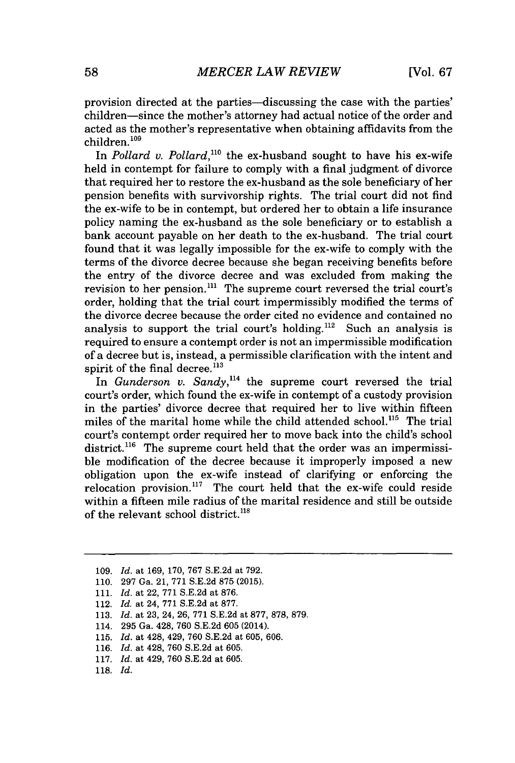provision directed at the parties-discussing the case with the parties' children-since the mother's attorney had actual notice of the order and acted as the mother's representative when obtaining affidavits from the children.109

In *Pollard v. Pollard*,<sup>110</sup> the ex-husband sought to have his ex-wife held in contempt for failure to comply with a final judgment of divorce that required her to restore the ex-husband as the sole beneficiary of her pension benefits with survivorship rights. The trial court did not find the ex-wife to be in contempt, but ordered her to obtain a life insurance policy naming the ex-husband as the sole beneficiary or to establish a bank account payable on her death to the ex-husband. The trial court found that it was legally impossible for the ex-wife to comply with the terms of the divorce decree because she began receiving benefits before the entry of the divorce decree and was excluded from making the revision to her pension.<sup>111</sup> The supreme court reversed the trial court's order, holding that the trial court impermissibly modified the terms of the divorce decree because the order cited no evidence and contained no analysis to support the trial court's holding.<sup>112</sup> Such an analysis is required to ensure a contempt order is not an impermissible modification of a decree but is, instead, a permissible clarification with the intent and spirit of the final decree. $^{113}$ 

In *Gunderson v. Sandy*,<sup>114</sup> the supreme court reversed the trial court's order, which found the ex-wife in contempt of a custody provision in the parties' divorce decree that required her to live within fifteen miles of the marital home while the child attended school.<sup>115</sup> The trial court's contempt order required her to move back into the child's school district.<sup>116</sup> The supreme court held that the order was an impermissible modification of the decree because it improperly imposed a new obligation upon the ex-wife instead of clarifying or enforcing the relocation provision.<sup>117</sup> The court held that the ex-wife could reside within a fifteen mile radius of the marital residence and still be outside of the relevant school district. $118$ 

- 111. *Id.* at 22, **771 S.E.2d** at **876.**
- 112. *Id.* at 24, **771 S.E.2d** at **877.**
- **113.** *Id.* at **23,** 24, **26, 771 S.E.2d** at **877, 878, 879.**
- 114. **295** Ga. 428, **760 S.E.2d 605** (2014).
- **115.** *Id.* at 428, 429, **760 S.E.2d** at **605, 606.**
- **116.** *Id.* at 428, **760 S.E.2d** at **605.**
- **117.** *Id.* at 429, **760 S.E.2d** at **605.**

**118.** *Id.*

**<sup>109.</sup>** *Id.* at **169, 170, 767 S.E.2d** at **792.**

**<sup>110. 297</sup>** Ga. 21, **771 S.E.2d 875 (2015).**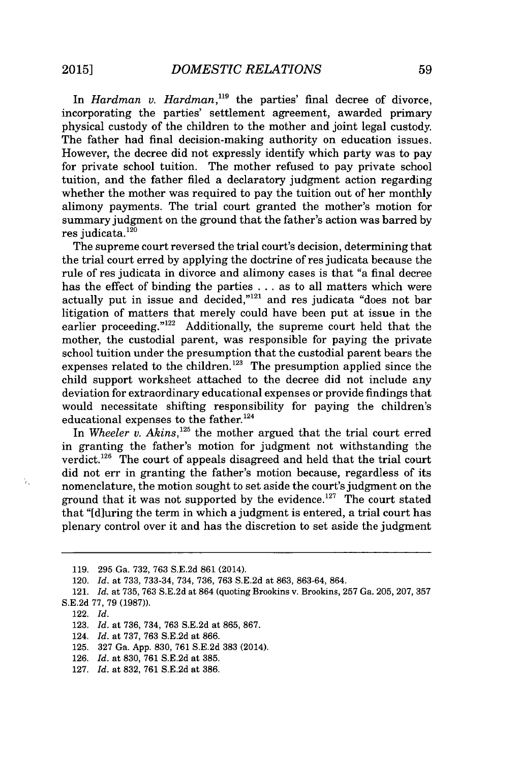In *Hardman v. Hardman*,<sup>119</sup> the parties' final decree of divorce, incorporating the parties' settlement agreement, awarded primary physical custody of the children to the mother and joint legal custody. The father had final decision-making authority on education issues. However, the decree did not expressly identify which party was to pay for private school tuition. The mother refused to pay private school tuition, and the father filed a declaratory judgment action regarding whether the mother was required to pay the tuition out of her monthly alimony payments. The trial court granted the mother's motion for summary judgment on the ground that the father's action was barred **by** res judicata. $120$ 

The supreme court reversed the trial court's decision, determining that the trial court erred **by** applying the doctrine of res judicata because the rule of res judicata in divorce and alimony cases is that "a final decree has the effect of binding the parties **.** . **.** as to all matters which were actually put in issue and decided,"<sup>121</sup> and res judicata "does not bar litigation of matters that merely could have been put at issue in the earlier proceeding."<sup>122</sup> Additionally, the supreme court held that the mother, the custodial parent, was responsible for paying the private school tuition under the presumption that the custodial parent bears the expenses related to the children.<sup>123</sup> The presumption applied since the child support worksheet attached to the decree did not include any deviation for extraordinary educational expenses or provide findings that would necessitate shifting responsibility for paying the children's educational expenses to the father. $124$ 

In *Wheeler v. Akins*,<sup>125</sup> the mother argued that the trial court erred in granting the father's motion for judgment not withstanding the verdict.<sup>126</sup> The court of appeals disagreed and held that the trial court did not err in granting the father's motion because, regardless of its nomenclature, the motion sought to set aside the court's judgment on the ground that it was not supported by the evidence.<sup>127</sup> The court stated that "[diuring the term in which a judgment is entered, a trial court has plenary control over it and has the discretion to set aside the judgment

122. *Id.*

7,

**<sup>119. 295</sup>** Ga. **732, 763 S.E.2d 861** (2014).

<sup>120.</sup> *Id.* at **733, 733-34,** 734, **736, 763 S.E.2d** at **863, 863-64,** 864.

<sup>121.</sup> *Id.* at **735, 763 S.E.2d** at 864 (quoting Brookins v. Brookins, **257** Ga. **205, 207, 357 S.E.2d 77, 79 (1987)).**

**<sup>123.</sup>** *Id.* at **736,** 734, **763 S.E.2d** at **865, 867.**

<sup>124.</sup> *Id.* at **737, 763 S.E.2d** at **866.**

**<sup>125. 327</sup>** Ga. **App. 830, 761 S.E.2d 383** (2014).

**<sup>126.</sup>** *Id.* at **830, 761 S.E.2d** at **385.**

**<sup>127.</sup>** *Id.* at **832, 761 S.E.2d** at **386.**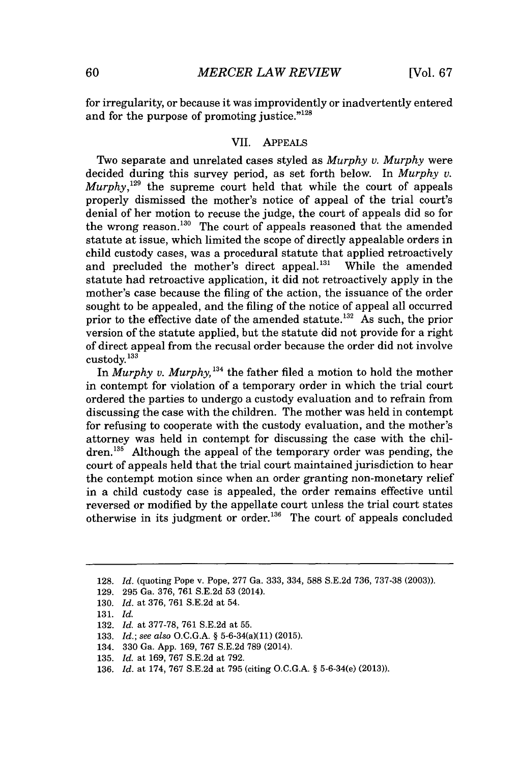for irregularity, or because it was improvidently or inadvertently entered and for the purpose of promoting justice. $"^{128}$ 

#### VII. **APPEALS**

Two separate and unrelated cases styled as *Murphy v. Murphy* were decided during this survey period, as set forth below. In *Murphy v.*  $Murphy$ <sup>129</sup>, the supreme court held that while the court of appeals properly dismissed the mother's notice of appeal of the trial court's denial of her motion to recuse the judge, the court of appeals did so for the wrong reason.<sup>130</sup> The court of appeals reasoned that the amended statute at issue, which limited the scope of directly appealable orders in child custody cases, was a procedural statute that applied retroactively and precluded the mother's direct appeal. $131$  While the amended statute had retroactive application, it did not retroactively apply in the mother's case because the filing of the action, the issuance of the order sought to be appealed, and the filing of the notice of appeal all occurred prior to the effective date of the amended statute.<sup>132</sup> As such, the prior version of the statute applied, but the statute did not provide for a right of direct appeal from the recusal order because the order did not involve custody. **<sup>13</sup>**

In *Murphy v. Murphy*,<sup>134</sup> the father filed a motion to hold the mother in contempt for violation of a temporary order in which the trial court ordered the parties to undergo a custody evaluation and to refrain from discussing the case with the children. The mother was held in contempt for refusing to cooperate with the custody evaluation, and the mother's attorney was held in contempt for discussing the case with the chil $dren$ <sup>135</sup> Although the appeal of the temporary order was pending, the court of appeals held that the trial court maintained jurisdiction to hear the contempt motion since when an order granting non-monetary relief in a child custody case is appealed, the order remains effective until reversed or modified **by** the appellate court unless the trial court states otherwise in its judgment or order.<sup>136</sup> The court of appeals concluded

**130.** *Id.* at **376, 761 S.E.2d** at 54.

- **133.** *Id.; see also* **O.C.G.A. §** 5-6-34(a)(11) **(2015).**
- 134. **330** Ga. **App. 169, 767 S.E.2d 789** (2014).
- **135.** *Id.* at **169, 767 S.E.2d** at **792.**
- **136.** *Id.* at 174, **767 S.E.2d** at **795** (citing **O.C.G.A. §** 5-6-34(e) **(2013)).**

**<sup>128.</sup>** *Id.* (quoting Pope v. Pope, **277** Ga. **333,** 334, **588 S.E.2d 736, 737-38 (2003)).**

**<sup>129. 295</sup>** Ga. **376, 761 S.E.2d 53** (2014).

**<sup>131.</sup>** *Id.*

**<sup>132.</sup>** *Id.* at **377-78, 761 S.E.2d** at **55.**